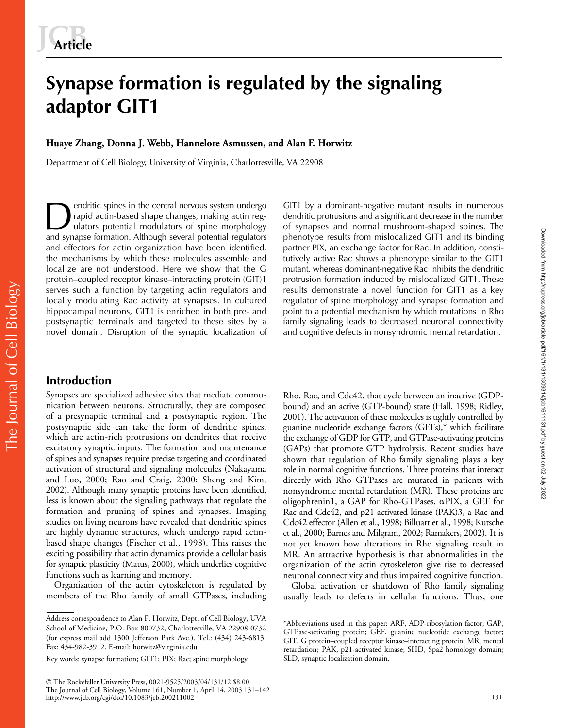# **Synapse formation is regulated by the signaling adaptor GIT1**

**Huaye Zhang, Donna J. Webb, Hannelore Asmussen, and Alan F. Horwitz**

Department of Cell Biology, University of Virginia, Charlottesville, VA 22908

endritic spines in the central nervous system undergo rapid actin-based shape changes, making actin regulators potential modulators of spine morphology and synapse formation. Although several potential regulators and effectors for actin organization have been identified, the mechanisms by which these molecules assemble and localize are not understood. Here we show that the G protein–coupled receptor kinase–interacting protein (GIT)1 serves such a function by targeting actin regulators and locally modulating Rac activity at synapses. In cultured hippocampal neurons, GIT1 is enriched in both pre- and postsynaptic terminals and targeted to these sites by a novel domain. Disruption of the synaptic localization of endritic spines in the central nervous system undergo GIT1 by a dominant-negative mutant results in numerous rapid actin-based shape changes, making actin reg-<br>ulators potential modulators of spine morphology of synapses a

# dendritic protrusions and a significant decrease in the number of synapses and normal mushroom-shaped spines. The phenotype results from mislocalized GIT1 and its binding partner PIX, an exchange factor for Rac. In addition, constitutively active Rac shows a phenotype similar to the GIT1 mutant, whereas dominant-negative Rac inhibits the dendritic protrusion formation induced by mislocalized GIT1. These results demonstrate a novel function for GIT1 as a key regulator of spine morphology and synapse formation and point to a potential mechanism by which mutations in Rho family signaling leads to decreased neuronal connectivity and cognitive defects in nonsyndromic mental retardation.

# **Introduction**

The Journal of Cell Biology

The Journal of Cell Biology

Synapses are specialized adhesive sites that mediate communication between neurons. Structurally, they are composed of a presynaptic terminal and a postsynaptic region. The postsynaptic side can take the form of dendritic spines, which are actin-rich protrusions on dendrites that receive excitatory synaptic inputs. The formation and maintenance of spines and synapses require precise targeting and coordinated activation of structural and signaling molecules (Nakayama and Luo, 2000; Rao and Craig, 2000; Sheng and Kim, 2002). Although many synaptic proteins have been identified, less is known about the signaling pathways that regulate the formation and pruning of spines and synapses. Imaging studies on living neurons have revealed that dendritic spines are highly dynamic structures, which undergo rapid actinbased shape changes (Fischer et al., 1998). This raises the exciting possibility that actin dynamics provide a cellular basis for synaptic plasticity (Matus, 2000), which underlies cognitive functions such as learning and memory.

Organization of the actin cytoskeleton is regulated by members of the Rho family of small GTPases, including

 The Rockefeller University Press, 0021-9525/2003/04/131/12 \$8.00 The Journal of Cell Biology, Volume 161, Number 1, April 14, 2003 131–142 http://www.jcb.org/cgi/doi/10.1083/jcb.200211002

Rho, Rac, and Cdc42, that cycle between an inactive (GDPbound) and an active (GTP-bound) state (Hall, 1998; Ridley, 2001). The activation of these molecules is tightly controlled by guanine nucleotide exchange factors (GEFs),\* which facilitate the exchange of GDP for GTP, and GTPase-activating proteins (GAPs) that promote GTP hydrolysis. Recent studies have shown that regulation of Rho family signaling plays a key role in normal cognitive functions. Three proteins that interact directly with Rho GTPases are mutated in patients with nonsyndromic mental retardation (MR). These proteins are oligophrenin1, a GAP for Rho-GTPases,  $\alpha$ PIX, a GEF for Rac and Cdc42, and p21-activated kinase (PAK)3, a Rac and Cdc42 effector (Allen et al., 1998; Billuart et al., 1998; Kutsche et al., 2000; Barnes and Milgram, 2002; Ramakers, 2002). It is not yet known how alterations in Rho signaling result in MR. An attractive hypothesis is that abnormalities in the organization of the actin cytoskeleton give rise to decreased neuronal connectivity and thus impaired cognitive function.

Global activation or shutdown of Rho family signaling usually leads to defects in cellular functions. Thus, one

Address correspondence to Alan F. Horwitz, Dept. of Cell Biology, UVA School of Medicine, P.O. Box 800732, Charlottesville, VA 22908-0732 (for express mail add 1300 Jefferson Park Ave.). Tel.: (434) 243-6813. Fax: 434-982-3912. E-mail: horwitz@virginia.edu

Key words: synapse formation; GIT1; PIX; Rac; spine morphology

<sup>\*</sup>Abbreviations used in this paper: ARF, ADP-ribosylation factor; GAP, GTPase-activating protein; GEF, guanine nucleotide exchange factor; GIT, G protein–coupled receptor kinase–interacting protein; MR, mental retardation; PAK, p21-activated kinase; SHD, Spa2 homology domain; SLD, synaptic localization domain.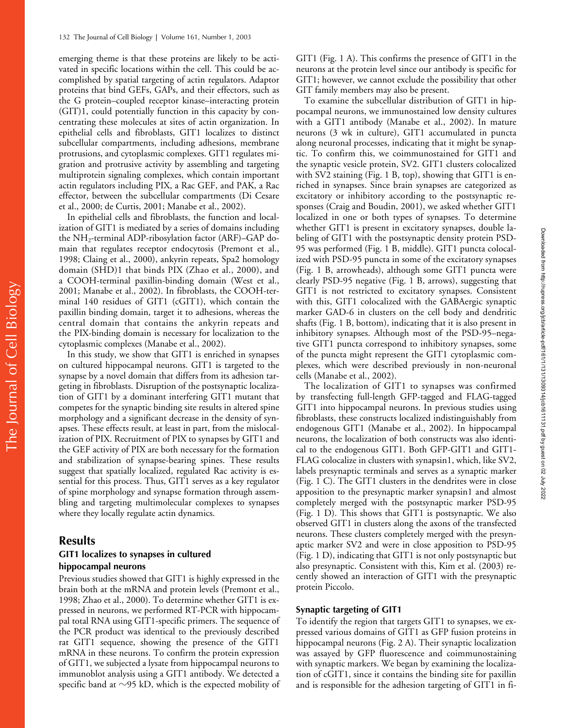emerging theme is that these proteins are likely to be activated in specific locations within the cell. This could be accomplished by spatial targeting of actin regulators. Adaptor proteins that bind GEFs, GAPs, and their effectors, such as the G protein–coupled receptor kinase–interacting protein (GIT)1, could potentially function in this capacity by concentrating these molecules at sites of actin organization. In epithelial cells and fibroblasts, GIT1 localizes to distinct subcellular compartments, including adhesions, membrane protrusions, and cytoplasmic complexes. GIT1 regulates migration and protrusive activity by assembling and targeting multiprotein signaling complexes, which contain important actin regulators including PIX, a Rac GEF, and PAK, a Rac effector, between the subcellular compartments (Di Cesare et al., 2000; de Curtis, 2001; Manabe et al., 2002).

In epithelial cells and fibroblasts, the function and localization of GIT1 is mediated by a series of domains including the NH2-terminal ADP-ribosylation factor (ARF)–GAP domain that regulates receptor endocytosis (Premont et al., 1998; Claing et al., 2000), ankyrin repeats, Spa2 homology domain (SHD)1 that binds PIX (Zhao et al., 2000), and a COOH-terminal paxillin-binding domain (West et al., 2001; Manabe et al., 2002). In fibroblasts, the COOH-terminal 140 residues of GIT1 (cGIT1), which contain the paxillin binding domain, target it to adhesions, whereas the central domain that contains the ankyrin repeats and the PIX-binding domain is necessary for localization to the cytoplasmic complexes (Manabe et al., 2002).

In this study, we show that GIT1 is enriched in synapses on cultured hippocampal neurons. GIT1 is targeted to the synapse by a novel domain that differs from its adhesion targeting in fibroblasts. Disruption of the postsynaptic localization of GIT1 by a dominant interfering GIT1 mutant that competes for the synaptic binding site results in altered spine morphology and a significant decrease in the density of synapses. These effects result, at least in part, from the mislocalization of PIX. Recruitment of PIX to synapses by GIT1 and the GEF activity of PIX are both necessary for the formation and stabilization of synapse-bearing spines. These results suggest that spatially localized, regulated Rac activity is essential for this process. Thus, GIT1 serves as a key regulator of spine morphology and synapse formation through assembling and targeting multimolecular complexes to synapses where they locally regulate actin dynamics.

# **Results**

#### **GIT1 localizes to synapses in cultured hippocampal neurons**

Previous studies showed that GIT1 is highly expressed in the brain both at the mRNA and protein levels (Premont et al., 1998; Zhao et al., 2000). To determine whether GIT1 is expressed in neurons, we performed RT-PCR with hippocampal total RNA using GIT1-specific primers. The sequence of the PCR product was identical to the previously described rat GIT1 sequence, showing the presence of the GIT1 mRNA in these neurons. To confirm the protein expression of GIT1, we subjected a lysate from hippocampal neurons to immunoblot analysis using a GIT1 antibody. We detected a specific band at  $\sim$ 95 kD, which is the expected mobility of

GIT1 (Fig. 1 A). This confirms the presence of GIT1 in the neurons at the protein level since our antibody is specific for GIT1; however, we cannot exclude the possibility that other GIT family members may also be present.

To examine the subcellular distribution of GIT1 in hippocampal neurons, we immunostained low density cultures with a GIT1 antibody (Manabe et al., 2002). In mature neurons (3 wk in culture), GIT1 accumulated in puncta along neuronal processes, indicating that it might be synaptic. To confirm this, we coimmunostained for GIT1 and the synaptic vesicle protein, SV2. GIT1 clusters colocalized with SV2 staining (Fig. 1 B, top), showing that GIT1 is enriched in synapses. Since brain synapses are categorized as excitatory or inhibitory according to the postsynaptic responses (Craig and Boudin, 2001), we asked whether GIT1 localized in one or both types of synapses. To determine whether GIT1 is present in excitatory synapses, double labeling of GIT1 with the postsynaptic density protein PSD-95 was performed (Fig. 1 B, middle). GIT1 puncta colocalized with PSD-95 puncta in some of the excitatory synapses (Fig. 1 B, arrowheads), although some GIT1 puncta were clearly PSD-95 negative (Fig. 1 B, arrows), suggesting that GIT1 is not restricted to excitatory synapses. Consistent with this, GIT1 colocalized with the GABAergic synaptic marker GAD-6 in clusters on the cell body and dendritic shafts (Fig. 1 B, bottom), indicating that it is also present in inhibitory synapses. Although most of the PSD-95–negative GIT1 puncta correspond to inhibitory synapses, some of the puncta might represent the GIT1 cytoplasmic complexes, which were described previously in non-neuronal cells (Manabe et al., 2002).

The localization of GIT1 to synapses was confirmed by transfecting full-length GFP-tagged and FLAG-tagged GIT1 into hippocampal neurons. In previous studies using fibroblasts, these constructs localized indistinguishably from endogenous GIT1 (Manabe et al., 2002). In hippocampal neurons, the localization of both constructs was also identical to the endogenous GIT1. Both GFP-GIT1 and GIT1- FLAG colocalize in clusters with synapsin1, which, like SV2, labels presynaptic terminals and serves as a synaptic marker (Fig. 1 C). The GIT1 clusters in the dendrites were in close apposition to the presynaptic marker synapsin1 and almost completely merged with the postsynaptic marker PSD-95 (Fig. 1 D). This shows that GIT1 is postsynaptic. We also observed GIT1 in clusters along the axons of the transfected neurons. These clusters completely merged with the presynaptic marker SV2 and were in close apposition to PSD-95 (Fig. 1 D), indicating that GIT1 is not only postsynaptic but also presynaptic. Consistent with this, Kim et al. (2003) recently showed an interaction of GIT1 with the presynaptic protein Piccolo.

#### **Synaptic targeting of GIT1**

To identify the region that targets GIT1 to synapses, we expressed various domains of GIT1 as GFP fusion proteins in hippocampal neurons (Fig. 2 A). Their synaptic localization was assayed by GFP fluorescence and coimmunostaining with synaptic markers. We began by examining the localization of cGIT1, since it contains the binding site for paxillin and is responsible for the adhesion targeting of GIT1 in fi-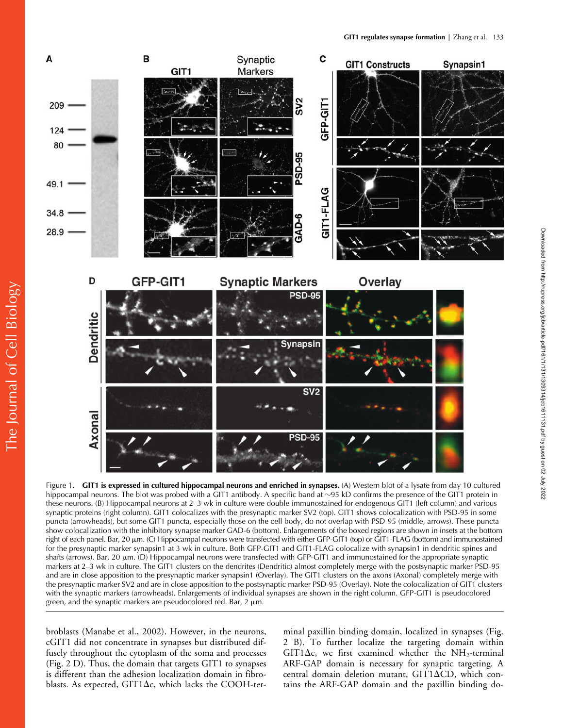

Figure 1. **GIT1 is expressed in cultured hippocampal neurons and enriched in synapses.** (A) Western blot of a lysate from day 10 cultured hippocampal neurons. The blot was probed with a GIT1 antibody. A specific band at  $\sim$ 95 kD confirms the presence of the GIT1 protein in these neurons. (B) Hippocampal neurons at 2–3 wk in culture were double immunostained for endogenous GIT1 (left column) and various synaptic proteins (right column). GIT1 colocalizes with the presynaptic marker SV2 (top). GIT1 shows colocalization with PSD-95 in some puncta (arrowheads), but some GIT1 puncta, especially those on the cell body, do not overlap with PSD-95 (middle, arrows). These puncta show colocalization with the inhibitory synapse marker GAD-6 (bottom). Enlargements of the boxed regions are shown in insets at the bottom right of each panel. Bar, 20 μm. (C) Hippocampal neurons were transfected with either GFP-GIT1 (top) or GIT1-FLAG (bottom) and immunostained for the presynaptic marker synapsin1 at 3 wk in culture. Both GFP-GIT1 and GIT1-FLAG colocalize with synapsin1 in dendritic spines and shafts (arrows). Bar,  $20 \mu m$ . (D) Hippocampal neurons were transfected with GFP-GIT1 and immunostained for the appropriate synaptic markers at 2–3 wk in culture. The GIT1 clusters on the dendrites (Dendritic) almost completely merge with the postsynaptic marker PSD-95 and are in close apposition to the presynaptic marker synapsin1 (Overlay). The GIT1 clusters on the axons (Axonal) completely merge with the presynaptic marker SV2 and are in close apposition to the postsynaptic marker PSD-95 (Overlay). Note the colocalization of GIT1 clusters with the synaptic markers (arrowheads). Enlargements of individual synapses are shown in the right column. GFP-GIT1 is pseudocolored green, and the synaptic markers are pseudocolored red. Bar,  $2 \mu m$ .

broblasts (Manabe et al., 2002). However, in the neurons, cGIT1 did not concentrate in synapses but distributed diffusely throughout the cytoplasm of the soma and processes (Fig. 2 D). Thus, the domain that targets GIT1 to synapses is different than the adhesion localization domain in fibroblasts. As expected, GIT1 $\Delta c$ , which lacks the COOH-terminal paxillin binding domain, localized in synapses (Fig. 2 B). To further localize the targeting domain within GIT1 $\Delta$ c, we first examined whether the NH<sub>2</sub>-terminal ARF-GAP domain is necessary for synaptic targeting. A central domain deletion mutant, GIT1 $\Delta$ CD, which contains the ARF-GAP domain and the paxillin binding do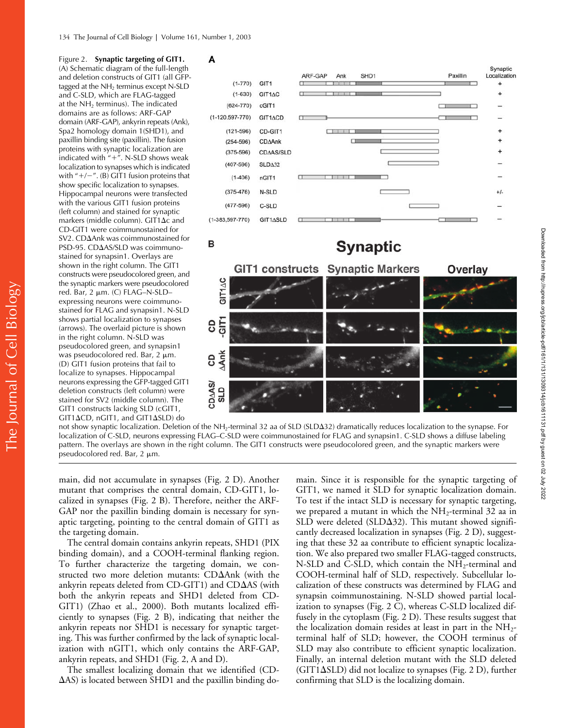Figure 2. **Synaptic targeting of GIT1.** (A) Schematic diagram of the full-length and deletion constructs of GIT1 (all GFPtagged at the  $NH<sub>2</sub>$  terminus except N-SLD and C-SLD, which are FLAG-tagged at the NH<sub>2</sub> terminus). The indicated domains are as follows: ARF-GAP domain (ARF-GAP), ankyrin repeats (Ank), Spa2 homology domain 1(SHD1), and paxillin binding site (paxillin). The fusion proteins with synaptic localization are indicated with  $4 + 7$ . N-SLD shows weak localization to synapses which is indicated with  $4/ - 7$ . (B) GIT1 fusion proteins that show specific localization to synapses. Hippocampal neurons were transfected with the various GIT1 fusion proteins (left column) and stained for synaptic markers (middle column). GIT1 $\Delta c$  and CD-GIT1 were coimmunostained for SV2. CDAnk was coimmunostained for PSD-95. CD $\Delta$ AS/SLD was coimmunostained for synapsin1. Overlays are shown in the right column. The GIT1 constructs were pseudocolored green, and the synaptic markers were pseudocolored red. Bar,  $2 \mu m$ . (C) FLAG-N-SLDexpressing neurons were coimmunostained for FLAG and synapsin1. N-SLD shows partial localization to synapses (arrows). The overlaid picture is shown in the right column. N-SLD was pseudocolored green, and synapsin1 was pseudocolored red. Bar,  $2 \mu m$ . (D) GIT1 fusion proteins that fail to localize to synapses. Hippocampal neurons expressing the GFP-tagged GIT1 deletion constructs (left column) were stained for SV2 (middle column). The GIT1 constructs lacking SLD (cGIT1, GIT1ΔCD, nGIT1, and GIT1ΔSLD) do







not show synaptic localization. Deletion of the NH<sub>2</sub>-terminal 32 aa of SLD (SLD $\Delta$ 32) dramatically reduces localization to the synapse. For localization of C-SLD, neurons expressing FLAG–C-SLD were coimmunostained for FLAG and synapsin1. C-SLD shows a diffuse labeling pattern. The overlays are shown in the right column. The GIT1 constructs were pseudocolored green, and the synaptic markers were pseudocolored red. Bar,  $2 \mu m$ .

main, did not accumulate in synapses (Fig. 2 D). Another mutant that comprises the central domain, CD-GIT1, localized in synapses (Fig. 2 B). Therefore, neither the ARF-GAP nor the paxillin binding domain is necessary for synaptic targeting, pointing to the central domain of GIT1 as the targeting domain.

The central domain contains ankyrin repeats, SHD1 (PIX binding domain), and a COOH-terminal flanking region. To further characterize the targeting domain, we constructed two more deletion mutants: CDAnk (with the ankyrin repeats deleted from CD-GIT1) and CDAS (with both the ankyrin repeats and SHD1 deleted from CD-GIT1) (Zhao et al., 2000). Both mutants localized efficiently to synapses (Fig. 2 B), indicating that neither the ankyrin repeats nor SHD1 is necessary for synaptic targeting. This was further confirmed by the lack of synaptic localization with nGIT1, which only contains the ARF-GAP, ankyrin repeats, and SHD1 (Fig. 2, A and D).

The smallest localizing domain that we identified (CD-  $\Delta$ AS) is located between SHD1 and the paxillin binding do-

main. Since it is responsible for the synaptic targeting of GIT1, we named it SLD for synaptic localization domain. To test if the intact SLD is necessary for synaptic targeting, we prepared a mutant in which the  $NH_2$ -terminal 32 aa in SLD were deleted (SLD $\Delta$ 32). This mutant showed significantly decreased localization in synapses (Fig. 2 D), suggesting that these 32 aa contribute to efficient synaptic localization. We also prepared two smaller FLAG-tagged constructs, N-SLD and C-SLD, which contain the  $NH_2$ -terminal and COOH-terminal half of SLD, respectively. Subcellular localization of these constructs was determined by FLAG and synapsin coimmunostaining. N-SLD showed partial localization to synapses (Fig. 2 C), whereas C-SLD localized diffusely in the cytoplasm (Fig. 2 D). These results suggest that the localization domain resides at least in part in the  $NH_{2^-}$ terminal half of SLD; however, the COOH terminus of SLD may also contribute to efficient synaptic localization. Finally, an internal deletion mutant with the SLD deleted (GIT1SLD) did not localize to synapses (Fig. 2 D), further confirming that SLD is the localizing domain.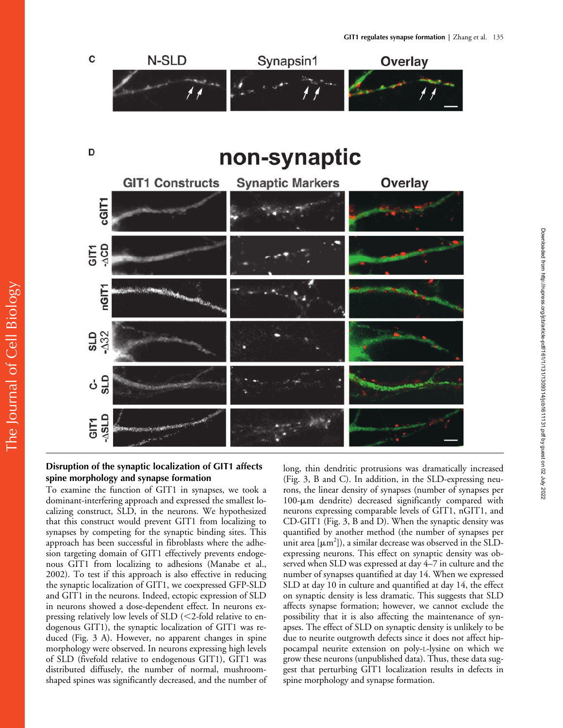C N-SLD Synapsin1 Overlay



#### **Disruption of the synaptic localization of GIT1 affects spine morphology and synapse formation**

**GTSV-GIT1** 

The Journal of Cell Biology

The Journal of Cell Biology

To examine the function of GIT1 in synapses, we took a dominant-interfering approach and expressed the smallest localizing construct, SLD, in the neurons. We hypothesized that this construct would prevent GIT1 from localizing to synapses by competing for the synaptic binding sites. This approach has been successful in fibroblasts where the adhesion targeting domain of GIT1 effectively prevents endogenous GIT1 from localizing to adhesions (Manabe et al., 2002). To test if this approach is also effective in reducing the synaptic localization of GIT1, we coexpressed GFP-SLD and GIT1 in the neurons. Indeed, ectopic expression of SLD in neurons showed a dose-dependent effect. In neurons expressing relatively low levels of SLD (<2-fold relative to endogenous GIT1), the synaptic localization of GIT1 was reduced (Fig. 3 A). However, no apparent changes in spine morphology were observed. In neurons expressing high levels of SLD (fivefold relative to endogenous GIT1), GIT1 was distributed diffusely, the number of normal, mushroomshaped spines was significantly decreased, and the number of long, thin dendritic protrusions was dramatically increased (Fig. 3, B and C). In addition, in the SLD-expressing neurons, the linear density of synapses (number of synapses per 100-um dendrite) decreased significantly compared with neurons expressing comparable levels of GIT1, nGIT1, and CD-GIT1 (Fig. 3, B and D). When the synaptic density was quantified by another method (the number of synapses per unit area  $[\mu m^2]$ ), a similar decrease was observed in the SLDexpressing neurons. This effect on synaptic density was observed when SLD was expressed at day 4–7 in culture and the number of synapses quantified at day 14. When we expressed SLD at day 10 in culture and quantified at day 14, the effect on synaptic density is less dramatic. This suggests that SLD affects synapse formation; however, we cannot exclude the possibility that it is also affecting the maintenance of synapses. The effect of SLD on synaptic density is unlikely to be due to neurite outgrowth defects since it does not affect hippocampal neurite extension on poly-L-lysine on which we grow these neurons (unpublished data). Thus, these data suggest that perturbing GIT1 localization results in defects in spine morphology and synapse formation.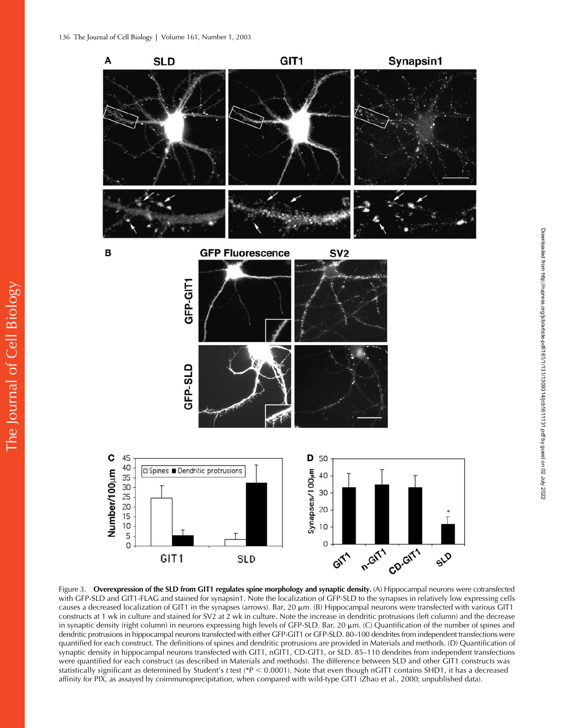The Journal of Cell Biology

The Journal of Cell Biology



Figure 3. **Overexpression of the SLD from GIT1 regulates spine morphology and synaptic density.** (A) Hippocampal neurons were cotransfected with GFP-SLD and GIT1-FLAG and stained for synapsin1. Note the localization of GFP-SLD to the synapses in relatively low expressing cells causes a decreased localization of GIT1 in the synapses (arrows). Bar,  $20 \mu m$ . (B) Hippocampal neurons were transfected with various GIT1 constructs at 1 wk in culture and stained for SV2 at 2 wk in culture. Note the increase in dendritic protrusions (left column) and the decrease in synaptic density (right column) in neurons expressing high levels of GFP-SLD. Bar, 20 μm. (C) Quantification of the number of spines and dendritic protrusions in hippocampal neurons transfected with either GFP-GIT1 or GFP-SLD. 80–100 dendrites from independent transfections were quantified for each construct. The definitions of spines and dendritic protrusions are provided in Materials and methods. (D) Quantification of synaptic density in hippocampal neurons transfected with GIT1, nGIT1, CD-GIT1, or SLD. 85–110 dendrites from independent transfections were quantified for each construct (as described in Materials and methods). The difference between SLD and other GIT1 constructs was statistically significant as determined by Student's *t* test (\*P < 0.0001). Note that even though nGIT1 contains SHD1, it has a decreased affinity for PIX, as assayed by coimmunoprecipitation, when compared with wild-type GIT1 (Zhao et al., 2000; unpublished data).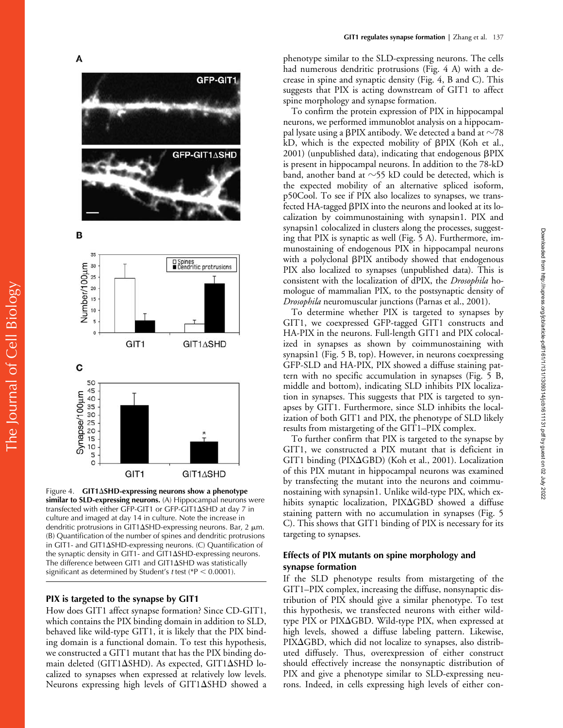

Figure 4. **GIT1SHD-expressing neurons show a phenotype similar to SLD-expressing neurons.** (A) Hippocampal neurons were transfected with either GFP-GIT1 or GFP-GIT1 $\Delta$ SHD at day 7 in culture and imaged at day 14 in culture. Note the increase in dendritic protrusions in GIT1 $\Delta$ SHD-expressing neurons. Bar, 2  $\mu$ m. (B) Quantification of the number of spines and dendritic protrusions in GIT1- and GIT1 $\Delta$ SHD-expressing neurons. (C) Quantification of the synaptic density in GIT1- and GIT1 $\Delta$ SHD-expressing neurons. The difference between GIT1 and GIT1 $\Delta$ SHD was statistically significant as determined by Student's *t* test (\*P < 0.0001).

#### **PIX is targeted to the synapse by GIT1**

How does GIT1 affect synapse formation? Since CD-GIT1, which contains the PIX binding domain in addition to SLD, behaved like wild-type GIT1, it is likely that the PIX binding domain is a functional domain. To test this hypothesis, we constructed a GIT1 mutant that has the PIX binding domain deleted (GIT1 $\Delta$ SHD). As expected, GIT1 $\Delta$ SHD localized to synapses when expressed at relatively low levels. Neurons expressing high levels of GIT1 $\Delta$ SHD showed a

phenotype similar to the SLD-expressing neurons. The cells had numerous dendritic protrusions (Fig. 4 A) with a decrease in spine and synaptic density (Fig. 4, B and C). This suggests that PIX is acting downstream of GIT1 to affect spine morphology and synapse formation.

To confirm the protein expression of PIX in hippocampal neurons, we performed immunoblot analysis on a hippocampal lysate using a <code>βPIX</code> antibody. We detected a band at  $\sim$ 78 kD, which is the expected mobility of  $\beta$ PIX (Koh et al., 2001) (unpublished data), indicating that endogenous  $\beta$ PIX is present in hippocampal neurons. In addition to the 78-kD band, another band at  $\sim$ 55 kD could be detected, which is the expected mobility of an alternative spliced isoform, p50Cool. To see if PIX also localizes to synapses, we transfected HA-tagged PIX into the neurons and looked at its localization by coimmunostaining with synapsin1. PIX and synapsin1 colocalized in clusters along the processes, suggesting that PIX is synaptic as well (Fig. 5 A). Furthermore, immunostaining of endogenous PIX in hippocampal neurons with a polyclonal BPIX antibody showed that endogenous PIX also localized to synapses (unpublished data). This is consistent with the localization of dPIX, the *Drosophila* homologue of mammalian PIX, to the postsynaptic density of *Drosophila* neuromuscular junctions (Parnas et al., 2001).

To determine whether PIX is targeted to synapses by GIT1, we coexpressed GFP-tagged GIT1 constructs and HA-PIX in the neurons. Full-length GIT1 and PIX colocalized in synapses as shown by coimmunostaining with synapsin1 (Fig. 5 B, top). However, in neurons coexpressing GFP-SLD and HA-PIX, PIX showed a diffuse staining pattern with no specific accumulation in synapses (Fig. 5 B, middle and bottom), indicating SLD inhibits PIX localization in synapses. This suggests that PIX is targeted to synapses by GIT1. Furthermore, since SLD inhibits the localization of both GIT1 and PIX, the phenotype of SLD likely results from mistargeting of the GIT1–PIX complex.

To further confirm that PIX is targeted to the synapse by GIT1, we constructed a PIX mutant that is deficient in GIT1 binding (PIXGBD) (Koh et al., 2001). Localization of this PIX mutant in hippocampal neurons was examined by transfecting the mutant into the neurons and coimmunostaining with synapsin1. Unlike wild-type PIX, which exhibits synaptic localization, PIXGBD showed a diffuse staining pattern with no accumulation in synapses (Fig. 5 C). This shows that GIT1 binding of PIX is necessary for its targeting to synapses.

## **Effects of PIX mutants on spine morphology and synapse formation**

If the SLD phenotype results from mistargeting of the GIT1–PIX complex, increasing the diffuse, nonsynaptic distribution of PIX should give a similar phenotype. To test this hypothesis, we transfected neurons with either wildtype PIX or PIXGBD. Wild-type PIX, when expressed at high levels, showed a diffuse labeling pattern. Likewise, PIX $\Delta$ GBD, which did not localize to synapses, also distributed diffusely. Thus, overexpression of either construct should effectively increase the nonsynaptic distribution of PIX and give a phenotype similar to SLD-expressing neurons. Indeed, in cells expressing high levels of either con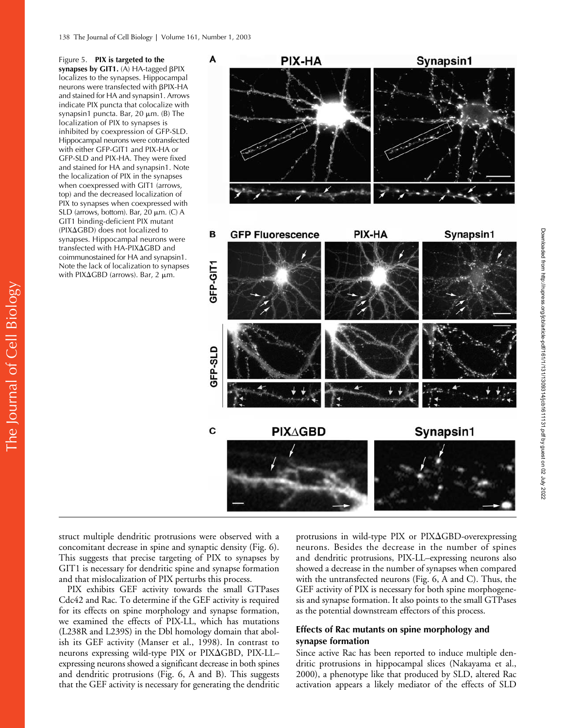Figure 5. **PIX is targeted to the**  synapses by GIT1. (A) HA-tagged  $\beta$ PIX localizes to the synapses. Hippocampal neurons were transfected with  $\beta$ PIX-HA and stained for HA and synapsin1. Arrows indicate PIX puncta that colocalize with synapsin1 puncta. Bar,  $20 \mu m$ . (B) The localization of PIX to synapses is inhibited by coexpression of GFP-SLD. Hippocampal neurons were cotransfected with either GFP-GIT1 and PIX-HA or GFP-SLD and PIX-HA. They were fixed and stained for HA and synapsin1. Note the localization of PIX in the synapses when coexpressed with GIT1 (arrows, top) and the decreased localization of PIX to synapses when coexpressed with SLD (arrows, bottom). Bar, 20  $\mu$ m. (C) A GIT1 binding-deficient PIX mutant  $(PIXAGBD)$  does not localized to synapses. Hippocampal neurons were transfected with HA-PIXGBD and coimmunostained for HA and synapsin1. Note the lack of localization to synapses with PIX $\Delta$ GBD (arrows). Bar, 2  $\mu$ m.



struct multiple dendritic protrusions were observed with a concomitant decrease in spine and synaptic density (Fig. 6). This suggests that precise targeting of PIX to synapses by GIT1 is necessary for dendritic spine and synapse formation and that mislocalization of PIX perturbs this process.

PIX exhibits GEF activity towards the small GTPases Cdc42 and Rac. To determine if the GEF activity is required for its effects on spine morphology and synapse formation, we examined the effects of PIX-LL, which has mutations (L238R and L239S) in the Dbl homology domain that abolish its GEF activity (Manser et al., 1998). In contrast to neurons expressing wild-type PIX or PIXGBD, PIX-LL– expressing neurons showed a significant decrease in both spines and dendritic protrusions (Fig. 6, A and B). This suggests that the GEF activity is necessary for generating the dendritic

protrusions in wild-type PIX or PIXGBD-overexpressing neurons. Besides the decrease in the number of spines and dendritic protrusions, PIX-LL–expressing neurons also showed a decrease in the number of synapses when compared with the untransfected neurons (Fig. 6, A and C). Thus, the GEF activity of PIX is necessary for both spine morphogenesis and synapse formation. It also points to the small GTPases as the potential downstream effectors of this process.

## **Effects of Rac mutants on spine morphology and synapse formation**

Since active Rac has been reported to induce multiple dendritic protrusions in hippocampal slices (Nakayama et al., 2000), a phenotype like that produced by SLD, altered Rac activation appears a likely mediator of the effects of SLD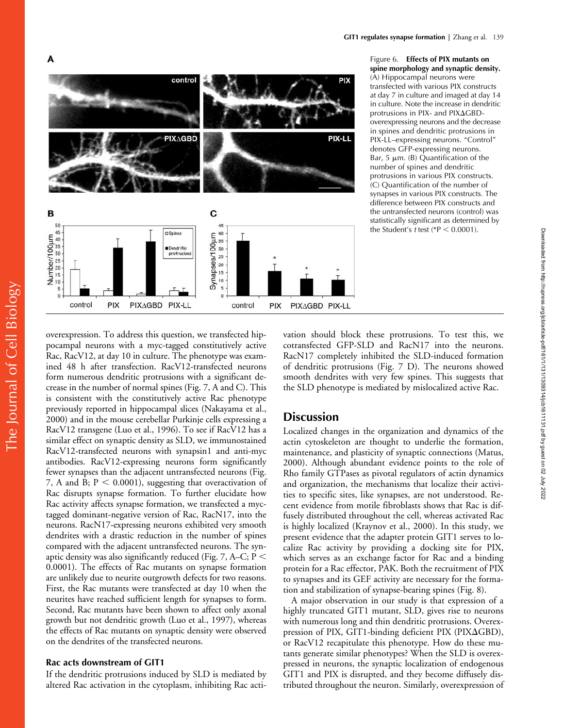

Figure 6. **Effects of PIX mutants on spine morphology and synaptic density.**  (A) Hippocampal neurons were transfected with various PIX constructs at day 7 in culture and imaged at day 14 in culture. Note the increase in dendritic protrusions in PIX- and PIXGBDoverexpressing neurons and the decrease in spines and dendritic protrusions in PIX-LL–expressing neurons. "Control" denotes GFP-expressing neurons. Bar, 5  $\mu$ m. (B) Quantification of the number of spines and dendritic protrusions in various PIX constructs. (C) Quantification of the number of synapses in various PIX constructs. The difference between PIX constructs and the untransfected neurons (control) was statistically significant as determined by the Student's *t* test ( $P < 0.0001$ ).

Downloaded from http://rupress.org/jcb/article-pdf/161/1/131/1309314/jcb1611131.pdf by guest on 02 July 2022

Downloaded from http://rupress.org/jcb/article-pdf/161/11131/1309314/jcb1611131.pdf by guest on 02 July 2022

overexpression. To address this question, we transfected hippocampal neurons with a myc-tagged constitutively active Rac, RacV12, at day 10 in culture. The phenotype was examined 48 h after transfection. RacV12-transfected neurons form numerous dendritic protrusions with a significant decrease in the number of normal spines (Fig. 7, A and C). This is consistent with the constitutively active Rac phenotype previously reported in hippocampal slices (Nakayama et al., 2000) and in the mouse cerebellar Purkinje cells expressing a RacV12 transgene (Luo et al., 1996). To see if RacV12 has a similar effect on synaptic density as SLD, we immunostained RacV12-transfected neurons with synapsin1 and anti-myc antibodies. RacV12-expressing neurons form significantly fewer synapses than the adjacent untransfected neurons (Fig. 7, A and B;  $P < 0.0001$ ), suggesting that overactivation of Rac disrupts synapse formation. To further elucidate how Rac activity affects synapse formation, we transfected a myctagged dominant-negative version of Rac, RacN17, into the neurons. RacN17-expressing neurons exhibited very smooth dendrites with a drastic reduction in the number of spines compared with the adjacent untransfected neurons. The synaptic density was also significantly reduced (Fig. 7, A–C; P 0.0001). The effects of Rac mutants on synapse formation are unlikely due to neurite outgrowth defects for two reasons. First, the Rac mutants were transfected at day 10 when the neurites have reached sufficient length for synapses to form. Second, Rac mutants have been shown to affect only axonal growth but not dendritic growth (Luo et al., 1997), whereas the effects of Rac mutants on synaptic density were observed on the dendrites of the transfected neurons.

#### **Rac acts downstream of GIT1**

If the dendritic protrusions induced by SLD is mediated by altered Rac activation in the cytoplasm, inhibiting Rac acti-

vation should block these protrusions. To test this, we cotransfected GFP-SLD and RacN17 into the neurons. RacN17 completely inhibited the SLD-induced formation of dendritic protrusions (Fig. 7 D). The neurons showed smooth dendrites with very few spines. This suggests that the SLD phenotype is mediated by mislocalized active Rac.

# **Discussion**

Localized changes in the organization and dynamics of the actin cytoskeleton are thought to underlie the formation, maintenance, and plasticity of synaptic connections (Matus, 2000). Although abundant evidence points to the role of Rho family GTPases as pivotal regulators of actin dynamics and organization, the mechanisms that localize their activities to specific sites, like synapses, are not understood. Recent evidence from motile fibroblasts shows that Rac is diffusely distributed throughout the cell, whereas activated Rac is highly localized (Kraynov et al., 2000). In this study, we present evidence that the adapter protein GIT1 serves to localize Rac activity by providing a docking site for PIX, which serves as an exchange factor for Rac and a binding protein for a Rac effector, PAK. Both the recruitment of PIX to synapses and its GEF activity are necessary for the formation and stabilization of synapse-bearing spines (Fig. 8).

A major observation in our study is that expression of a highly truncated GIT1 mutant, SLD, gives rise to neurons with numerous long and thin dendritic protrusions. Overexpression of PIX, GIT1-binding deficient PIX (PIX $\Delta$ GBD), or RacV12 recapitulate this phenotype. How do these mutants generate similar phenotypes? When the SLD is overexpressed in neurons, the synaptic localization of endogenous GIT1 and PIX is disrupted, and they become diffusely distributed throughout the neuron. Similarly, overexpression of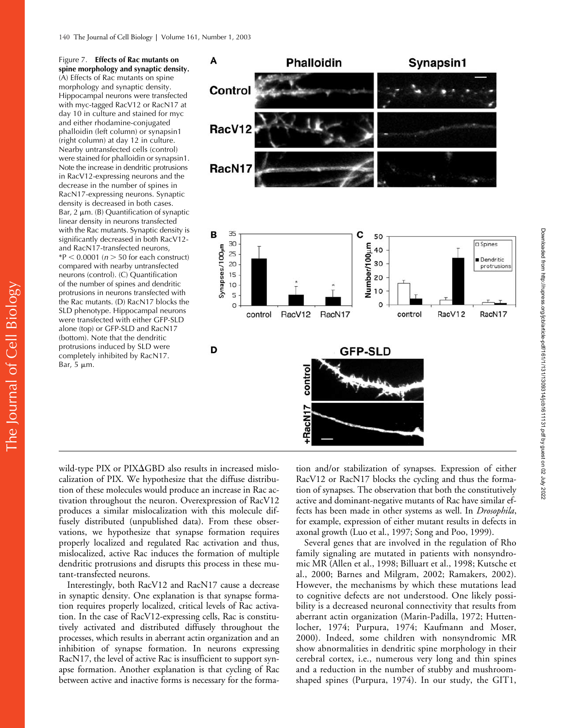Figure 7. **Effects of Rac mutants on spine morphology and synaptic density.** (A) Effects of Rac mutants on spine morphology and synaptic density. Hippocampal neurons were transfected with myc-tagged RacV12 or RacN17 at day 10 in culture and stained for myc and either rhodamine-conjugated phalloidin (left column) or synapsin1 (right column) at day 12 in culture. Nearby untransfected cells (control) were stained for phalloidin or synapsin1. Note the increase in dendritic protrusions in RacV12-expressing neurons and the decrease in the number of spines in RacN17-expressing neurons. Synaptic density is decreased in both cases. Bar,  $2 \mu m$ . (B) Quantification of synaptic linear density in neurons transfected with the Rac mutants. Synaptic density is significantly decreased in both RacV12 and RacN17-transfected neurons,  $*P < 0.0001$  ( $n > 50$  for each construct) compared with nearby untransfected neurons (control). (C) Quantification of the number of spines and dendritic protrusions in neurons transfected with the Rac mutants. (D) RacN17 blocks the SLD phenotype. Hippocampal neurons were transfected with either GFP-SLD alone (top) or GFP-SLD and RacN17 (bottom). Note that the dendritic protrusions induced by SLD were completely inhibited by RacN17. Bar,  $5 \mu m$ .



wild-type PIX or PIX $\Delta$ GBD also results in increased mislocalization of PIX. We hypothesize that the diffuse distribution of these molecules would produce an increase in Rac activation throughout the neuron. Overexpression of RacV12 produces a similar mislocalization with this molecule diffusely distributed (unpublished data). From these observations, we hypothesize that synapse formation requires properly localized and regulated Rac activation and thus, mislocalized, active Rac induces the formation of multiple dendritic protrusions and disrupts this process in these mutant-transfected neurons.

Interestingly, both RacV12 and RacN17 cause a decrease in synaptic density. One explanation is that synapse formation requires properly localized, critical levels of Rac activation. In the case of RacV12-expressing cells, Rac is constitutively activated and distributed diffusely throughout the processes, which results in aberrant actin organization and an inhibition of synapse formation. In neurons expressing RacN17, the level of active Rac is insufficient to support synapse formation. Another explanation is that cycling of Rac between active and inactive forms is necessary for the forma-

tion and/or stabilization of synapses. Expression of either RacV12 or RacN17 blocks the cycling and thus the formation of synapses. The observation that both the constitutively active and dominant-negative mutants of Rac have similar effects has been made in other systems as well. In *Drosophila*, for example, expression of either mutant results in defects in axonal growth (Luo et al., 1997; Song and Poo, 1999).

Several genes that are involved in the regulation of Rho family signaling are mutated in patients with nonsyndromic MR (Allen et al., 1998; Billuart et al., 1998; Kutsche et al., 2000; Barnes and Milgram, 2002; Ramakers, 2002). However, the mechanisms by which these mutations lead to cognitive defects are not understood. One likely possibility is a decreased neuronal connectivity that results from aberrant actin organization (Marin-Padilla, 1972; Huttenlocher, 1974; Purpura, 1974; Kaufmann and Moser, 2000). Indeed, some children with nonsyndromic MR show abnormalities in dendritic spine morphology in their cerebral cortex, i.e., numerous very long and thin spines and a reduction in the number of stubby and mushroomshaped spines (Purpura, 1974). In our study, the GIT1,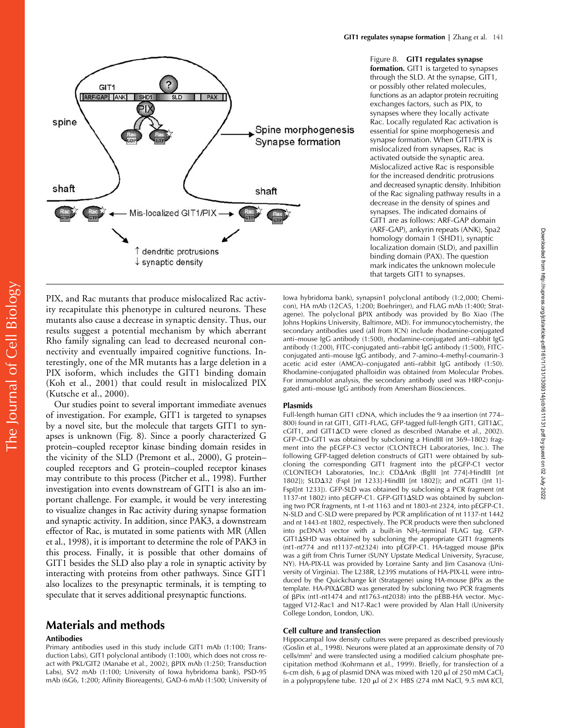

Figure 8. **GIT1 regulates synapse formation.** GIT1 is targeted to synapses through the SLD. At the synapse, GIT1, or possibly other related molecules, functions as an adaptor protein recruiting exchanges factors, such as PIX, to synapses where they locally activate Rac. Locally regulated Rac activation is essential for spine morphogenesis and synapse formation. When GIT1/PIX is mislocalized from synapses, Rac is activated outside the synaptic area. Mislocalized active Rac is responsible for the increased dendritic protrusions and decreased synaptic density. Inhibition of the Rac signaling pathway results in a decrease in the density of spines and synapses. The indicated domains of GIT1 are as follows: ARF-GAP domain (ARF-GAP), ankyrin repeats (ANK), Spa2 homology domain 1 (SHD1), synaptic localization domain (SLD), and paxillin binding domain (PAX). The question mark indicates the unknown molecule that targets GIT1 to synapses.

Downloaded from http://rupress.org/jcb/article-pdf/161/1/131/1309314/jcb1611131.pdf by guest on 02 July 2022

Downloaded from http://rupress.org/jcb/article-pdf/161/11131/1309314/jcb1611131.pdf by guest on 02 July 2022

PIX, and Rac mutants that produce mislocalized Rac activity recapitulate this phenotype in cultured neurons. These mutants also cause a decrease in synaptic density. Thus, our results suggest a potential mechanism by which aberrant Rho family signaling can lead to decreased neuronal connectivity and eventually impaired cognitive functions. Interestingly, one of the MR mutants has a large deletion in a PIX isoform, which includes the GIT1 binding domain (Koh et al., 2001) that could result in mislocalized PIX (Kutsche et al., 2000).

Our studies point to several important immediate avenues of investigation. For example, GIT1 is targeted to synapses by a novel site, but the molecule that targets GIT1 to synapses is unknown (Fig. 8). Since a poorly characterized G protein–coupled receptor kinase binding domain resides in the vicinity of the SLD (Premont et al., 2000), G protein– coupled receptors and G protein–coupled receptor kinases may contribute to this process (Pitcher et al., 1998). Further investigation into events downstream of GIT1 is also an important challenge. For example, it would be very interesting to visualize changes in Rac activity during synapse formation and synaptic activity. In addition, since PAK3, a downstream effector of Rac, is mutated in some patients with MR (Allen et al., 1998), it is important to determine the role of PAK3 in this process. Finally, it is possible that other domains of GIT1 besides the SLD also play a role in synaptic activity by interacting with proteins from other pathways. Since GIT1 also localizes to the presynaptic terminals, it is tempting to speculate that it serves additional presynaptic functions.

# **Materials and methods**

#### **Antibodies**

Primary antibodies used in this study include GIT1 mAb (1:100; Transduction Labs), GIT1 polyclonal antibody (1:100), which does not cross react with PKL/GIT2 (Manabe et al., 2002), BPIX mAb (1:250; Transduction Labs), SV2 mAb (1:100; University of Iowa hybridoma bank), PSD-95 mAb (6G6, 1:200; Affinity Bioreagents), GAD-6 mAb (1:500; University of Iowa hybridoma bank), synapsin1 polyclonal antibody (1:2,000; Chemicon), HA mAb (12CA5, 1:200; Boehringer), and FLAG mAb (1:400; Stratagene). The polyclonal BPIX antibody was provided by Bo Xiao (The Johns Hopkins University, Baltimore, MD). For immunocytochemistry, the secondary antibodies used (all from ICN) include rhodamine-conjugated anti–mouse IgG antibody (1:500), rhodamine-conjugated anti–rabbit IgG antibody (1:200), FITC-conjugated anti–rabbit IgG antibody (1:500), FITCconjugated anti–mouse IgG antibody, and 7-amino-4-methyl-coumarin-3 acetic acid ester (AMCA)–conjugated anti–rabbit IgG antibody (1:50). Rhodamine-conjugated phalloidin was obtained from Molecular Probes. For immunoblot analysis, the secondary antibody used was HRP-conjugated anti–mouse IgG antibody from Amersham Biosciences.

#### **Plasmids**

Full-length human GIT1 cDNA, which includes the 9 aa insertion (nt 774– 800) found in rat GIT1, GIT1-FLAG, GFP-tagged full-length GIT1, GIT1AC, cGIT1, and GIT1 $\Delta$ CD were cloned as described (Manabe et al., 2002). GFP–CD-GIT1 was obtained by subcloning a HindIII (nt 369–1802) fragment into the pEGFP-C3 vector (CLONTECH Laboratories, Inc.). The following GFP-tagged deletion constructs of GIT1 were obtained by subcloning the corresponding GIT1 fragment into the pEGFP-C1 vector (CLONTECH Laboratories, Inc.): CDAnk (BglII [nt 774]-HindIII [nt 1802]); SLD32 (FspI [nt 1233]-HindIII [nt 1802]); and nGIT1 ([nt 1]- FspI[nt 1233]). GFP-SLD was obtained by subcloning a PCR fragment (nt 1137-nt 1802) into pEGFP-C1. GFP-GIT1SLD was obtained by subcloning two PCR fragments, nt 1-nt 1163 and nt 1803-nt 2324, into pEGFP-C1. N-SLD and C-SLD were prepared by PCR amplification of nt 1137-nt 1442 and nt 1443-nt 1802, respectively. The PCR products were then subcloned into pcDNA3 vector with a built-in NH<sub>2</sub>-terminal FLAG tag. GFP- $GIT1\Delta SHD$  was obtained by subcloning the appropriate  $GIT1$  fragments (nt1-nt774 and nt1137-nt2324) into pEGFP-C1. HA-tagged mouse  $\beta$ Pix was a gift from Chris Turner (SUNY Upstate Medical University, Syracuse, NY). HA-PIX-LL was provided by Lorraine Santy and Jim Casanova (University of Virginia). The L238R, L239S mutations of HA-PIX-LL were introduced by the Quickchange kit (Stratagene) using HA-mouse  $\beta$ Pix as the template. HA-PIXGBD was generated by subcloning two PCR fragments of  $\beta$ Pix (nt1-nt1474 and nt1763-nt2038) into the pEBB-HA vector. Myctagged V12-Rac1 and N17-Rac1 were provided by Alan Hall (University College London, London, UK).

#### **Cell culture and transfection**

Hippocampal low density cultures were prepared as described previously (Goslin et al., 1998). Neurons were plated at an approximate density of 70 cells/mm<sup>2</sup> and were transfected using a modified calcium phosphate precipitation method (Kohrmann et al., 1999). Briefly, for transfection of a 6-cm dish, 6  $\mu$ g of plasmid DNA was mixed with 120  $\mu$ l of 250 mM CaCl<sub>2</sub> in a polypropylene tube. 120  $\mu$ l of 2× HBS (274 mM NaCl, 9.5 mM KCl,